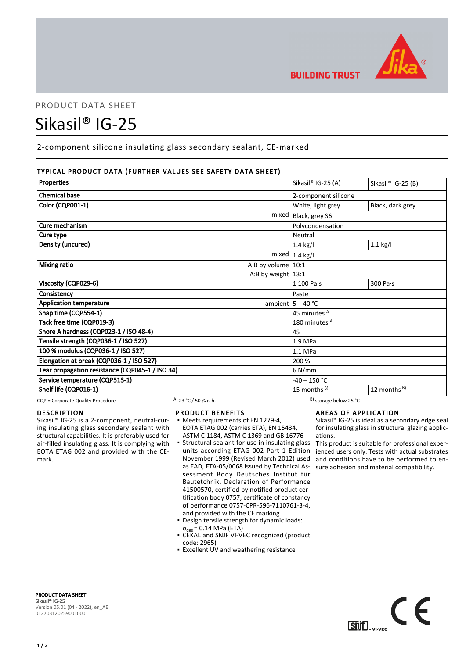

# PRODUCT DATA SHEET

# Sikasil® IG-25

2-component silicone insulating glass secondary sealant, CE-marked

# TYPICAL PRODUCT DATA (FURTHER VALUES SEE SAFETY DATA SHEET)

| <b>Properties</b>                               | Sikasil® IG-25 (A)   | Sikasil® IG-25 (B)      |
|-------------------------------------------------|----------------------|-------------------------|
| <b>Chemical base</b>                            | 2-component silicone |                         |
| Color (CQP001-1)                                | White, light grey    | Black, dark grey        |
| mixed                                           | Black, grey S6       |                         |
| Cure mechanism                                  | Polycondensation     |                         |
| Cure type                                       | Neutral              |                         |
| Density (uncured)                               | $1.4$ kg/l           | $1.1$ kg/l              |
| mixed                                           | $1.4$ kg/l           |                         |
| <b>Mixing ratio</b><br>A:B by volume $10:1$     |                      |                         |
| A:B by weight $13:1$                            |                      |                         |
| Viscosity (CQP029-6)                            | $1100$ Pa $\cdot$ s  | 300 Pa·s                |
| Consistency                                     | Paste                |                         |
| <b>Application temperature</b>                  | ambient $5 - 40$ °C  |                         |
| Snap time (CQP554-1)                            | 45 minutes A         |                         |
| Tack free time (CQP019-3)                       | 180 minutes A        |                         |
| Shore A hardness (CQP023-1 / ISO 48-4)          | 45                   |                         |
| Tensile strength (CQP036-1 / ISO 527)           | $1.9$ MPa            |                         |
| 100 % modulus (CQP036-1 / ISO 527)              | 1.1 MPa              |                         |
| Elongation at break (CQP036-1 / ISO 527)        | 200 %                |                         |
| Tear propagation resistance (CQP045-1 / ISO 34) | $6$ N/mm             |                         |
| Service temperature (CQP513-1)                  | $-40 - 150$ °C       |                         |
| Shelf life (CQP016-1)                           | 15 months $B$ )      | 12 months <sup>B)</sup> |

CQP = Corporate Quality Procedure A) 23 °C / 50 % r. h. B) storage below 25 °C

# DESCRIPTION

Sikasil® IG-25 is a 2-component, neutral-curing insulating glass secondary sealant with structural capabilities. It is preferably used for air-filled insulating glass. It is complying with EOTA ETAG 002 and provided with the CEmark.

#### PRODUCT BENEFITS

- Meets requirements of EN 1279-4, EOTA ETAG 002 (carries ETA), EN 15434, ASTM C 1184, ASTM C 1369 and GB 16776
- **Structural sealant for use in insulating glass** units according ETAG 002 Part 1 Edition November 1999 (Revised March 2012) used as EAD, ETA-05/0068 issued by Technical Assessment Body Deutsches Institut für Bautetchnik, Declaration of Performance 41500570, certified by notified product certification body 0757, certificate of constancy of performance 0757-CPR-596-7110761-3-4, and provided with the CE marking
- Design tensile strength for dynamic loads:  $\sigma_{des}$  = 0.14 MPa (ETA)
- CEKAL and SNJF VI-VEC recognized (product code: 2965)
- **Excellent UV and weathering resistance**

# AREAS OF APPLICATION

Sikasil® IG-25 is ideal as a secondary edge seal for insulating glass in structural glazing applications.

This product is suitable for professional experienced users only. Tests with actual substrates and conditions have to be performed to ensure adhesion and material compatibility.



PRODUCT DATA SHEET Sikasil® IG-25 Version 05.01 (04 - 2022), en\_AE 012703120259001000